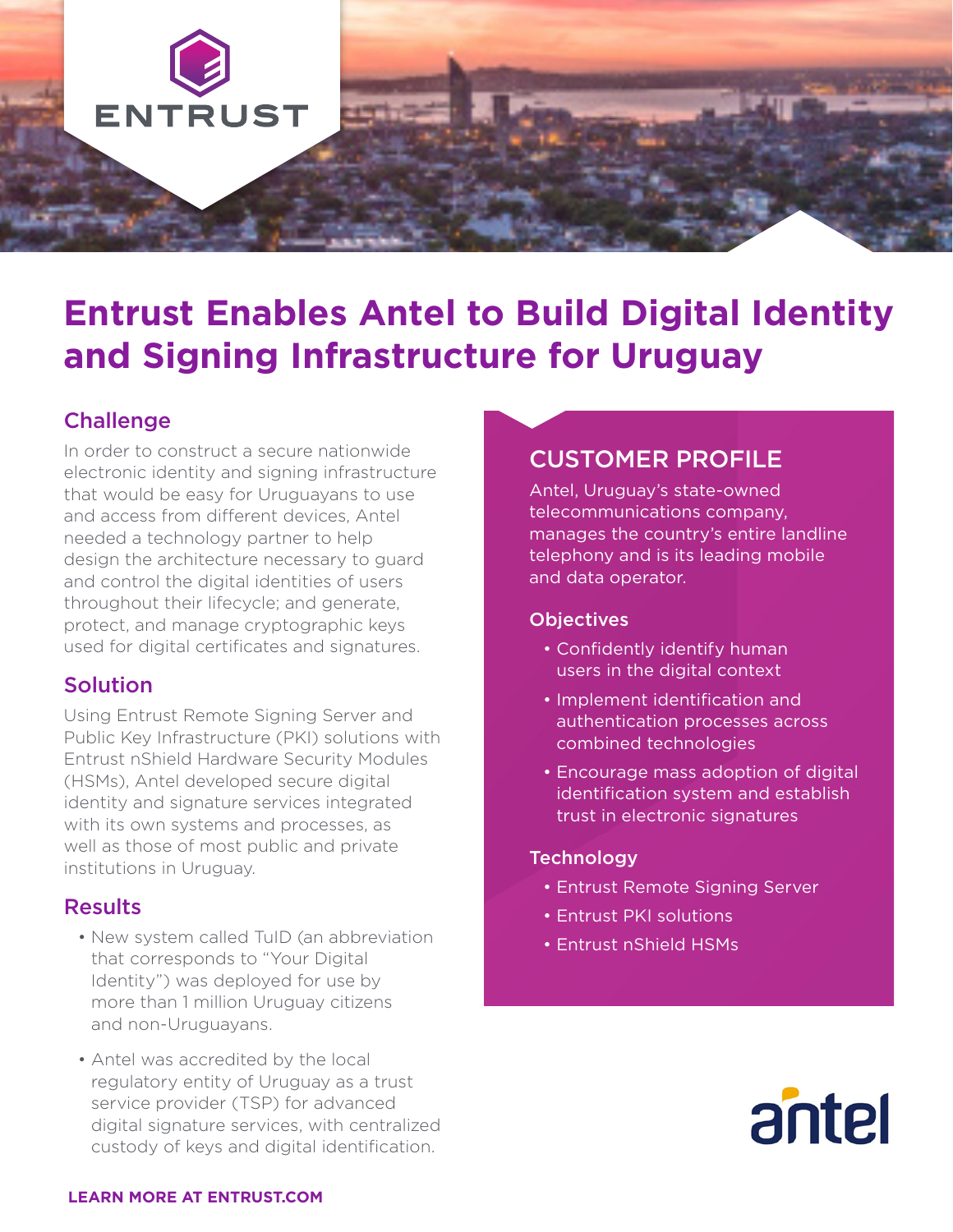

# **Entrust Enables Antel to Build Digital Identity and Signing Infrastructure for Uruguay**

## **Challenge**

In order to construct a secure nationwide electronic identity and signing infrastructure that would be easy for Uruguayans to use and access from different devices, Antel needed a technology partner to help design the architecture necessary to guard and control the digital identities of users throughout their lifecycle; and generate, protect, and manage cryptographic keys used for digital certificates and signatures.

### Solution

Using Entrust Remote Signing Server and Public Key Infrastructure (PKI) solutions with Entrust nShield Hardware Security Modules (HSMs), Antel developed secure digital identity and signature services integrated with its own systems and processes, as well as those of most public and private institutions in Uruguay.

### **Results**

- New system called TuID (an abbreviation that corresponds to "Your Digital Identity") was deployed for use by more than 1 million Uruguay citizens and non-Uruguayans.
- Antel was accredited by the local regulatory entity of Uruguay as a trust service provider (TSP) for advanced digital signature services, with centralized custody of keys and digital identification.

# CUSTOMER PROFILE

Antel, Uruguay's state-owned telecommunications company, manages the country's entire landline telephony and is its leading mobile and data operator.

#### **Objectives**

- Confidently identify human users in the digital context
- Implement identification and authentication processes across combined technologies
- Encourage mass adoption of digital identification system and establish trust in electronic signatures

#### **Technology**

- Entrust Remote Signing Server
- Entrust PKI solutions
- Entrust nShield HSMs



#### **LEARN MORE AT ENTRUST.COM**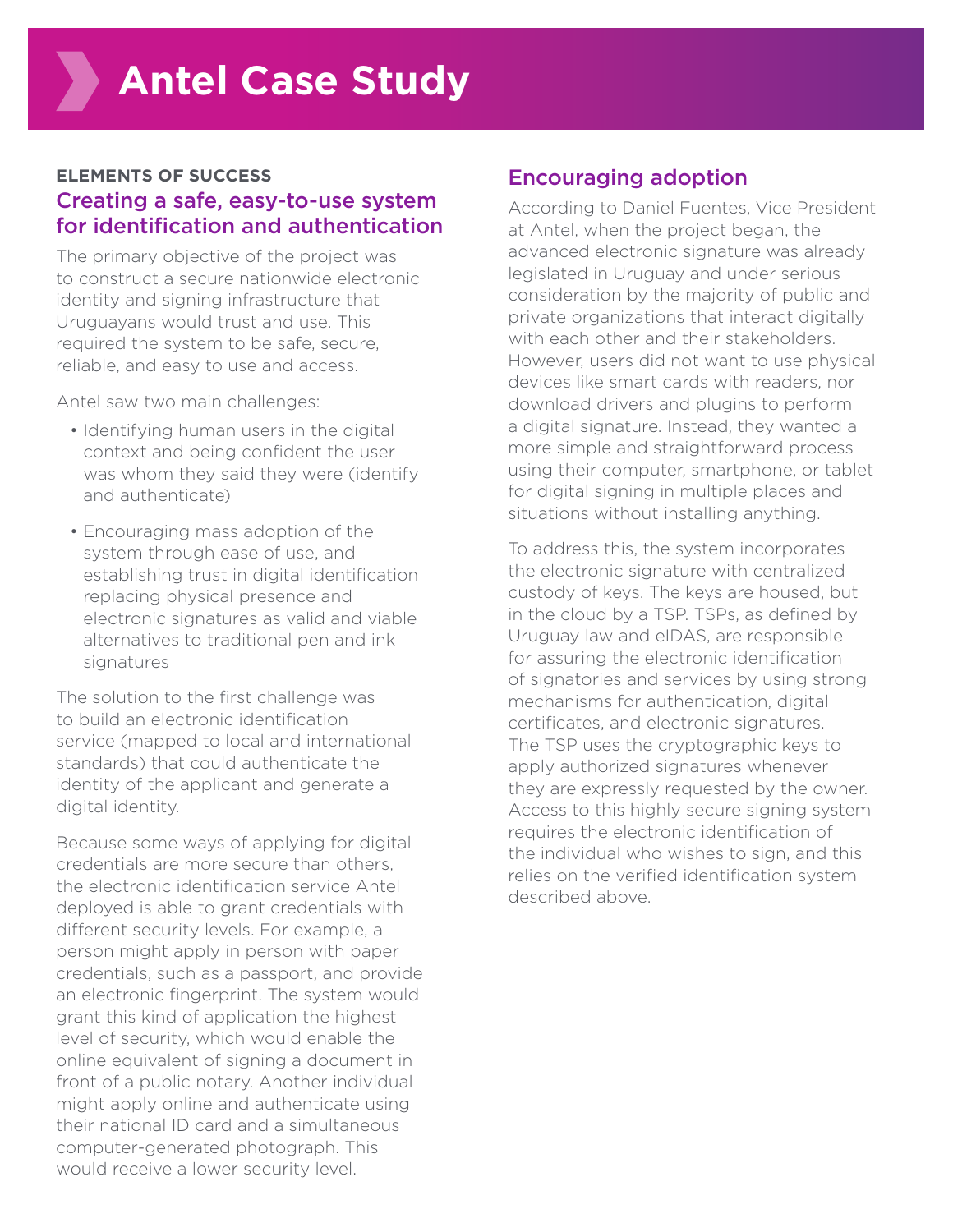#### **ELEMENTS OF SUCCESS**  Creating a safe, easy-to-use system for identification and authentication

The primary objective of the project was to construct a secure nationwide electronic identity and signing infrastructure that Uruguayans would trust and use. This required the system to be safe, secure, reliable, and easy to use and access.

Antel saw two main challenges:

- Identifying human users in the digital context and being confident the user was whom they said they were (identify and authenticate)
- Encouraging mass adoption of the system through ease of use, and establishing trust in digital identification replacing physical presence and electronic signatures as valid and viable alternatives to traditional pen and ink signatures

The solution to the first challenge was to build an electronic identification service (mapped to local and international standards) that could authenticate the identity of the applicant and generate a digital identity.

Because some ways of applying for digital credentials are more secure than others, the electronic identification service Antel deployed is able to grant credentials with different security levels. For example, a person might apply in person with paper credentials, such as a passport, and provide an electronic fingerprint. The system would grant this kind of application the highest level of security, which would enable the online equivalent of signing a document in front of a public notary. Another individual might apply online and authenticate using their national ID card and a simultaneous computer-generated photograph. This would receive a lower security level.

## Encouraging adoption

According to Daniel Fuentes, Vice President at Antel, when the project began, the advanced electronic signature was already legislated in Uruguay and under serious consideration by the majority of public and private organizations that interact digitally with each other and their stakeholders. However, users did not want to use physical devices like smart cards with readers, nor download drivers and plugins to perform a digital signature. Instead, they wanted a more simple and straightforward process using their computer, smartphone, or tablet for digital signing in multiple places and situations without installing anything.

To address this, the system incorporates the electronic signature with centralized custody of keys. The keys are housed, but in the cloud by a TSP. TSPs, as defined by Uruguay law and eIDAS, are responsible for assuring the electronic identification of signatories and services by using strong mechanisms for authentication, digital certificates, and electronic signatures. The TSP uses the cryptographic keys to apply authorized signatures whenever they are expressly requested by the owner. Access to this highly secure signing system requires the electronic identification of the individual who wishes to sign, and this relies on the verified identification system described above.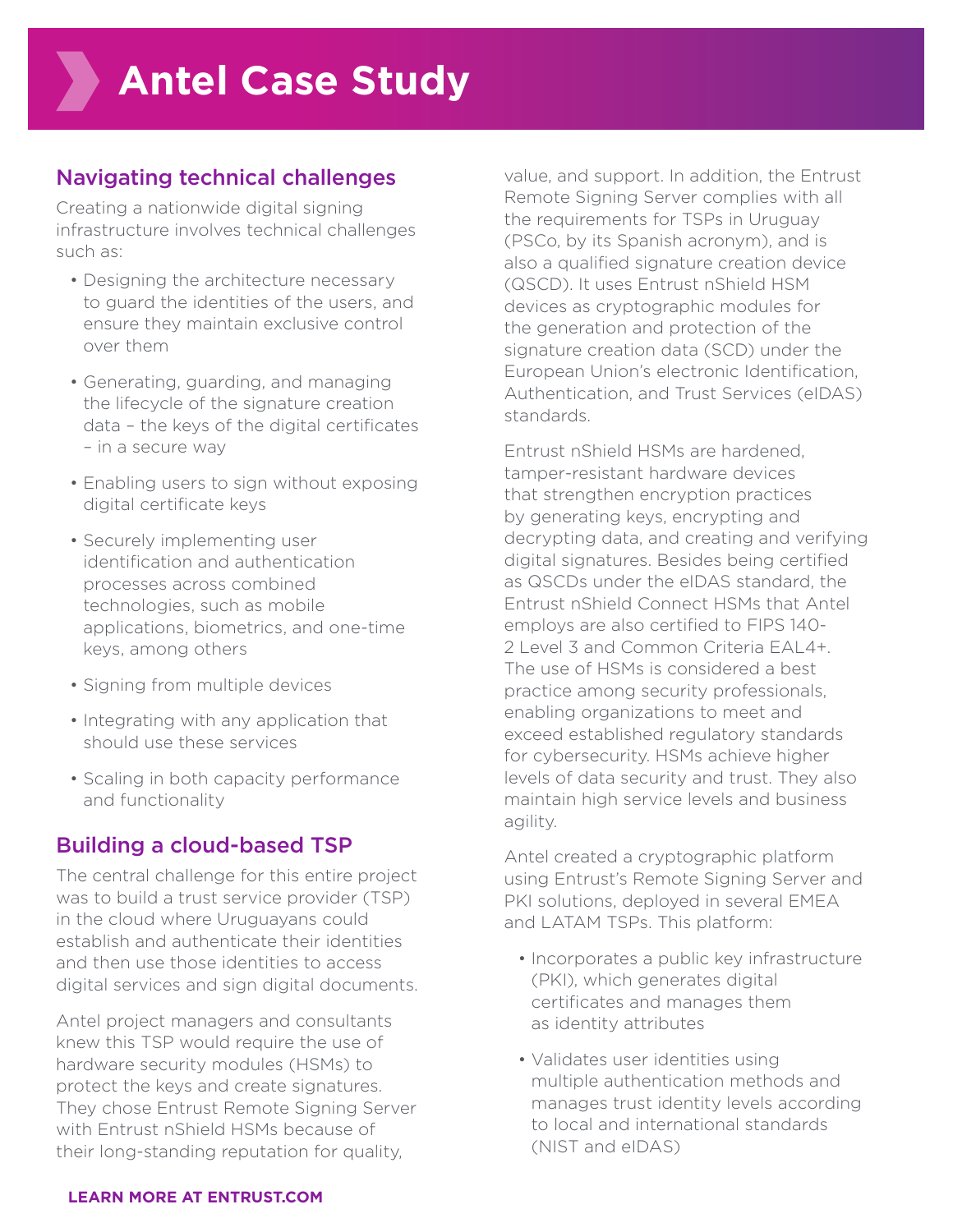## Navigating technical challenges

Creating a nationwide digital signing infrastructure involves technical challenges such as:

- Designing the architecture necessary to guard the identities of the users, and ensure they maintain exclusive control over them
- Generating, guarding, and managing the lifecycle of the signature creation data – the keys of the digital certificates – in a secure way
- Enabling users to sign without exposing digital certificate keys
- Securely implementing user identification and authentication processes across combined technologies, such as mobile applications, biometrics, and one-time keys, among others
- Signing from multiple devices
- Integrating with any application that should use these services
- Scaling in both capacity performance and functionality

## Building a cloud-based TSP

The central challenge for this entire project was to build a trust service provider (TSP) in the cloud where Uruguayans could establish and authenticate their identities and then use those identities to access digital services and sign digital documents.

Antel project managers and consultants knew this TSP would require the use of hardware security modules (HSMs) to protect the keys and create signatures. They chose Entrust Remote Signing Server with Entrust nShield HSMs because of their long-standing reputation for quality,

value, and support. In addition, the Entrust Remote Signing Server complies with all the requirements for TSPs in Uruguay (PSCo, by its Spanish acronym), and is also a qualified signature creation device (QSCD). It uses Entrust nShield HSM devices as cryptographic modules for the generation and protection of the signature creation data (SCD) under the European Union's electronic Identification, Authentication, and Trust Services (eIDAS) standards.

Entrust nShield HSMs are hardened, tamper-resistant hardware devices that strengthen encryption practices by generating keys, encrypting and decrypting data, and creating and verifying digital signatures. Besides being certified as QSCDs under the eIDAS standard, the Entrust nShield Connect HSMs that Antel employs are also certified to FIPS 140- 2 Level 3 and Common Criteria EAL4+. The use of HSMs is considered a best practice among security professionals, enabling organizations to meet and exceed established regulatory standards for cybersecurity. HSMs achieve higher levels of data security and trust. They also maintain high service levels and business agility.

Antel created a cryptographic platform using Entrust's Remote Signing Server and PKI solutions, deployed in several EMEA and LATAM TSPs. This platform:

- Incorporates a public key infrastructure (PKI), which generates digital certificates and manages them as identity attributes
- Validates user identities using multiple authentication methods and manages trust identity levels according to local and international standards (NIST and eIDAS)

#### **LEARN MORE AT ENTRUST.COM**